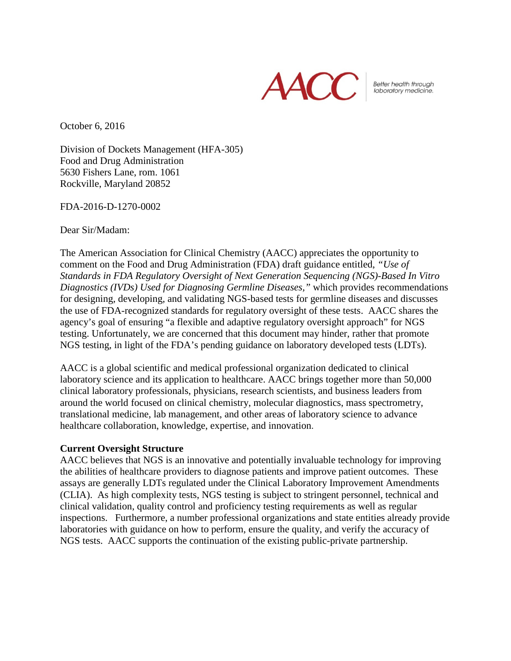

Better health through<br>laboratory medicine.

October 6, 2016

Division of Dockets Management (HFA-305) Food and Drug Administration 5630 Fishers Lane, rom. 1061 Rockville, Maryland 20852

FDA-2016-D-1270-0002

Dear Sir/Madam:

The American Association for Clinical Chemistry (AACC) appreciates the opportunity to comment on the Food and Drug Administration (FDA) draft guidance entitled, *"Use of Standards in FDA Regulatory Oversight of Next Generation Sequencing (NGS)-Based In Vitro Diagnostics (IVDs) Used for Diagnosing Germline Diseases,"* which provides recommendations for designing, developing, and validating NGS-based tests for germline diseases and discusses the use of FDA-recognized standards for regulatory oversight of these tests. AACC shares the agency's goal of ensuring "a flexible and adaptive regulatory oversight approach" for NGS testing. Unfortunately, we are concerned that this document may hinder, rather that promote NGS testing, in light of the FDA's pending guidance on laboratory developed tests (LDTs).

AACC is a global scientific and medical professional organization dedicated to clinical laboratory science and its application to healthcare. AACC brings together more than 50,000 clinical laboratory professionals, physicians, research scientists, and business leaders from around the world focused on clinical chemistry, molecular diagnostics, mass spectrometry, translational medicine, lab management, and other areas of laboratory science to advance healthcare collaboration, knowledge, expertise, and innovation.

# **Current Oversight Structure**

AACC believes that NGS is an innovative and potentially invaluable technology for improving the abilities of healthcare providers to diagnose patients and improve patient outcomes. These assays are generally LDTs regulated under the Clinical Laboratory Improvement Amendments (CLIA). As high complexity tests, NGS testing is subject to stringent personnel, technical and clinical validation, quality control and proficiency testing requirements as well as regular inspections. Furthermore, a number professional organizations and state entities already provide laboratories with guidance on how to perform, ensure the quality, and verify the accuracy of NGS tests. AACC supports the continuation of the existing public-private partnership.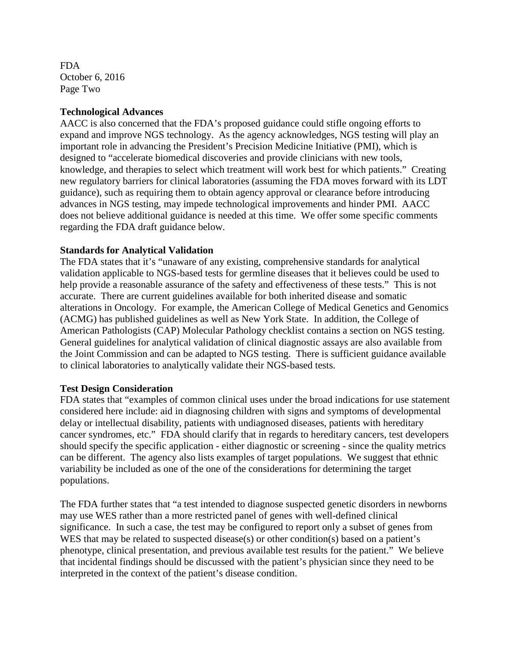FDA October 6, 2016 Page Two

### **Technological Advances**

AACC is also concerned that the FDA's proposed guidance could stifle ongoing efforts to expand and improve NGS technology. As the agency acknowledges, NGS testing will play an important role in advancing the President's Precision Medicine Initiative (PMI), which is designed to "accelerate biomedical discoveries and provide clinicians with new tools, knowledge, and therapies to select which treatment will work best for which patients." Creating new regulatory barriers for clinical laboratories (assuming the FDA moves forward with its LDT guidance), such as requiring them to obtain agency approval or clearance before introducing advances in NGS testing, may impede technological improvements and hinder PMI. AACC does not believe additional guidance is needed at this time. We offer some specific comments regarding the FDA draft guidance below.

# **Standards for Analytical Validation**

The FDA states that it's "unaware of any existing, comprehensive standards for analytical validation applicable to NGS-based tests for germline diseases that it believes could be used to help provide a reasonable assurance of the safety and effectiveness of these tests." This is not accurate. There are current guidelines available for both inherited disease and somatic alterations in Oncology. For example, the American College of Medical Genetics and Genomics (ACMG) has published guidelines as well as New York State. In addition, the College of American Pathologists (CAP) Molecular Pathology checklist contains a section on NGS testing. General guidelines for analytical validation of clinical diagnostic assays are also available from the Joint Commission and can be adapted to NGS testing. There is sufficient guidance available to clinical laboratories to analytically validate their NGS-based tests.

#### **Test Design Consideration**

FDA states that "examples of common clinical uses under the broad indications for use statement considered here include: aid in diagnosing children with signs and symptoms of developmental delay or intellectual disability, patients with undiagnosed diseases, patients with hereditary cancer syndromes, etc." FDA should clarify that in regards to hereditary cancers, test developers should specify the specific application - either diagnostic or screening - since the quality metrics can be different. The agency also lists examples of target populations. We suggest that ethnic variability be included as one of the one of the considerations for determining the target populations.

The FDA further states that "a test intended to diagnose suspected genetic disorders in newborns may use WES rather than a more restricted panel of genes with well-defined clinical significance. In such a case, the test may be configured to report only a subset of genes from WES that may be related to suspected disease(s) or other condition(s) based on a patient's phenotype, clinical presentation, and previous available test results for the patient." We believe that incidental findings should be discussed with the patient's physician since they need to be interpreted in the context of the patient's disease condition.